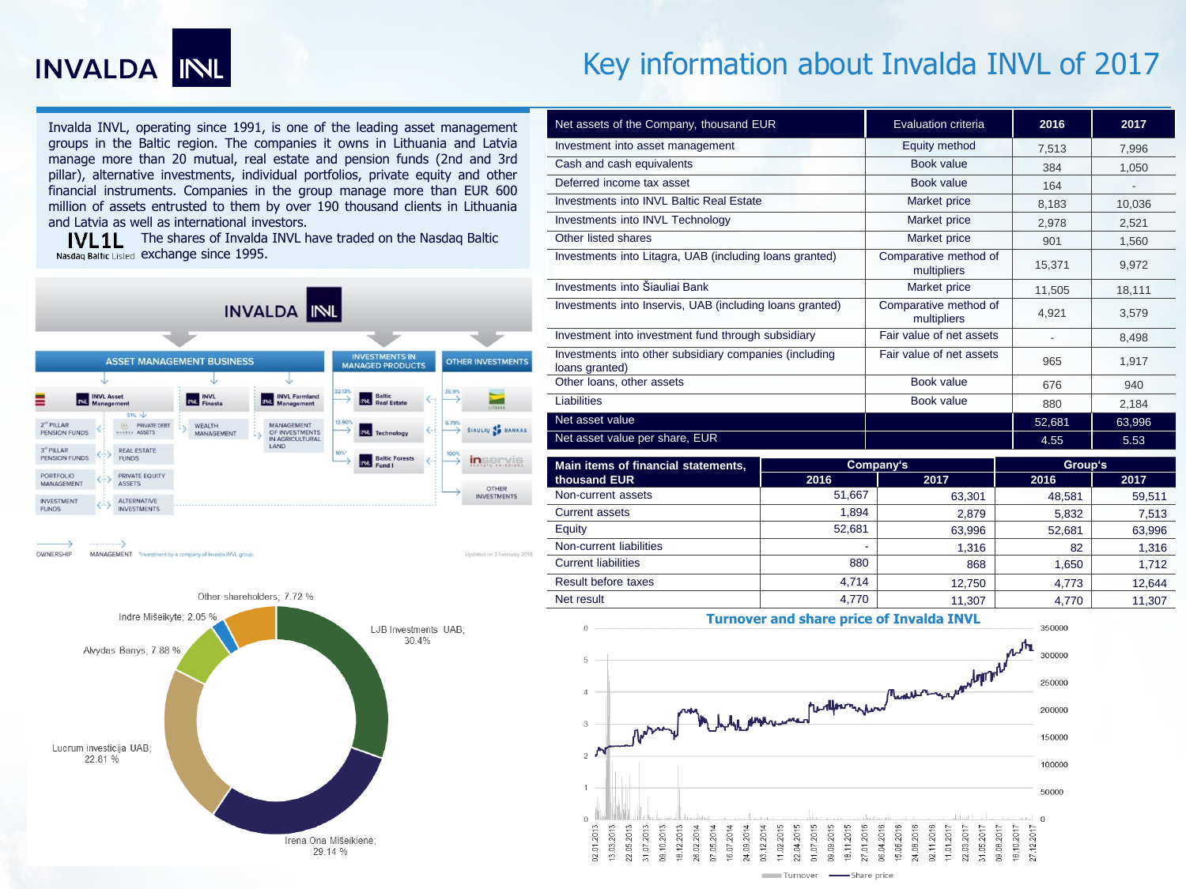

# Key information about Invalda INVL of 2017

Invalda INVL, operating since 1991, is one of the leading asset management groups in the Baltic region. The companies it owns in Lithuania and Latvia manage more than 20 mutual, real estate and pension funds (2nd and 3rd pillar), alternative investments, individual portfolios, private equity and other financial instruments. Companies in the group manage more than EUR 600 million of assets entrusted to them by over 190 thousand clients in Lithuania and Latvia as well as international investors.

IVL1L The shares of Invalda INVL have traded on the Nasdaq Baltic Nasdaq Baltic Listed exchange since 1995.



OWNERSHIP MANAGEMENT "Investment by a company of invalda INVL group

Updated on 2 February 201



| Net assets of the Company, thousand EUR                                  |                                      | Evaluation criteria                  | 2016                     | 2017   |
|--------------------------------------------------------------------------|--------------------------------------|--------------------------------------|--------------------------|--------|
| Investment into asset management                                         |                                      | Equity method                        | 7,513                    | 7,996  |
| Cash and cash equivalents                                                |                                      | <b>Book value</b>                    | 384                      | 1,050  |
| Deferred income tax asset                                                |                                      | Book value                           | 164                      |        |
| Investments into INVL Baltic Real Estate                                 |                                      | Market price                         | 8,183                    | 10,036 |
| Investments into INVL Technology                                         |                                      | Market price                         | 2,978                    | 2,521  |
| Other listed shares                                                      |                                      | Market price                         | 901                      | 1,560  |
| Investments into Litagra, UAB (including loans granted)                  | Comparative method of<br>multipliers | 15,371                               | 9,972                    |        |
| Investments into Šiauliai Bank                                           | Market price                         | 11,505                               | 18,111                   |        |
| Investments into Inservis, UAB (including loans granted)                 |                                      | Comparative method of<br>multipliers | 4,921                    | 3,579  |
| Investment into investment fund through subsidiary                       |                                      | Fair value of net assets             | $\overline{\phantom{a}}$ | 8.498  |
| Investments into other subsidiary companies (including<br>loans granted) |                                      | Fair value of net assets             | 965                      | 1,917  |
| Other loans, other assets                                                |                                      | Book value                           | 676                      | 940    |
| Liabilities                                                              |                                      | Book value                           | 880                      | 2,184  |
| Net asset value                                                          |                                      |                                      | 52,681                   | 63,996 |
| Net asset value per share, EUR                                           |                                      |                                      | 4.55                     | 5.53   |
| Main items of financial statements,                                      | Company's                            |                                      | Group's                  |        |
| thousand EUR                                                             | 2016                                 | 2017                                 | 2016                     | 2017   |
| Non-current assets                                                       | 51,667                               | 63.301                               | 48,581                   | 59,511 |
| <b>Current assets</b>                                                    | 1.894                                | 2,879                                | 5,832                    | 7,513  |
| Equity                                                                   | 52,681                               | 63,996                               | 52,681                   | 63,996 |
| Non-current liabilities                                                  |                                      | 1,316                                | 82                       | 1,316  |
| <b>Current liabilities</b>                                               | 880                                  | 868                                  | 1,650                    | 1.712  |
| Result before taxes                                                      | 4,714                                | 12.750                               | 4.773                    | 12.644 |
| Net result                                                               | 4.770                                | 11.307                               | 4.770                    | 11.307 |

**Turnover and share price of Invalda INVL**